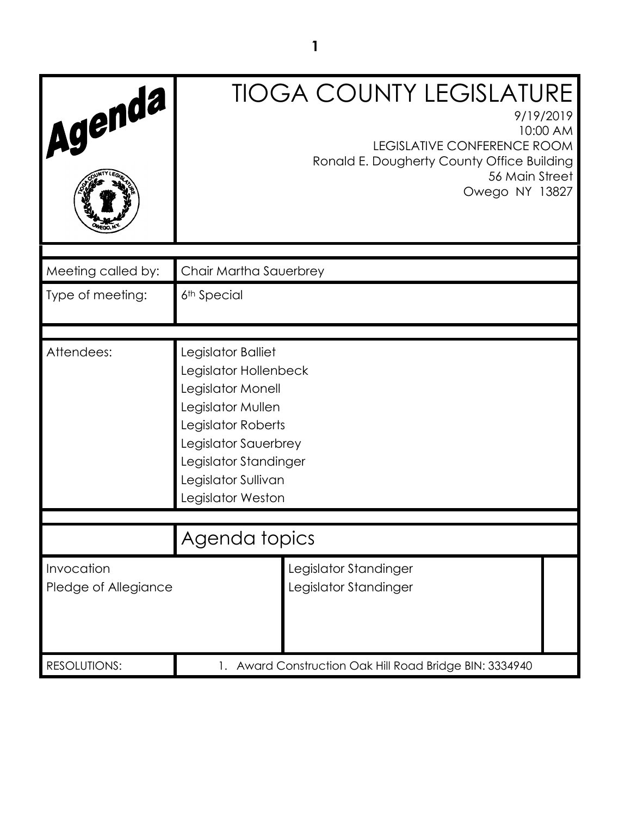| Agenda                             |                                                                                                                                                                                                          | <b>TIOGA COUNTY LEGISLATURE</b><br>9/19/2019<br>10:00 AM<br><b>LEGISLATIVE CONFERENCE ROOM</b><br>Ronald E. Dougherty County Office Building<br>56 Main Street<br>Owego NY 13827 |
|------------------------------------|----------------------------------------------------------------------------------------------------------------------------------------------------------------------------------------------------------|----------------------------------------------------------------------------------------------------------------------------------------------------------------------------------|
| Meeting called by:                 | Chair Martha Sauerbrey                                                                                                                                                                                   |                                                                                                                                                                                  |
| Type of meeting:                   | 6 <sup>th</sup> Special                                                                                                                                                                                  |                                                                                                                                                                                  |
|                                    |                                                                                                                                                                                                          |                                                                                                                                                                                  |
| Attendees:                         | Legislator Balliet<br>Legislator Hollenbeck<br>Legislator Monell<br>Legislator Mullen<br>Legislator Roberts<br>Legislator Sauerbrey<br>Legislator Standinger<br>Legislator Sullivan<br>Legislator Weston |                                                                                                                                                                                  |
|                                    |                                                                                                                                                                                                          |                                                                                                                                                                                  |
|                                    | Agenda topics                                                                                                                                                                                            |                                                                                                                                                                                  |
| Invocation<br>Pledge of Allegiance |                                                                                                                                                                                                          | Legislator Standinger<br>Legislator Standinger                                                                                                                                   |
| <b>RESOLUTIONS:</b>                | 1. Award Construction Oak Hill Road Bridge BIN: 3334940                                                                                                                                                  |                                                                                                                                                                                  |